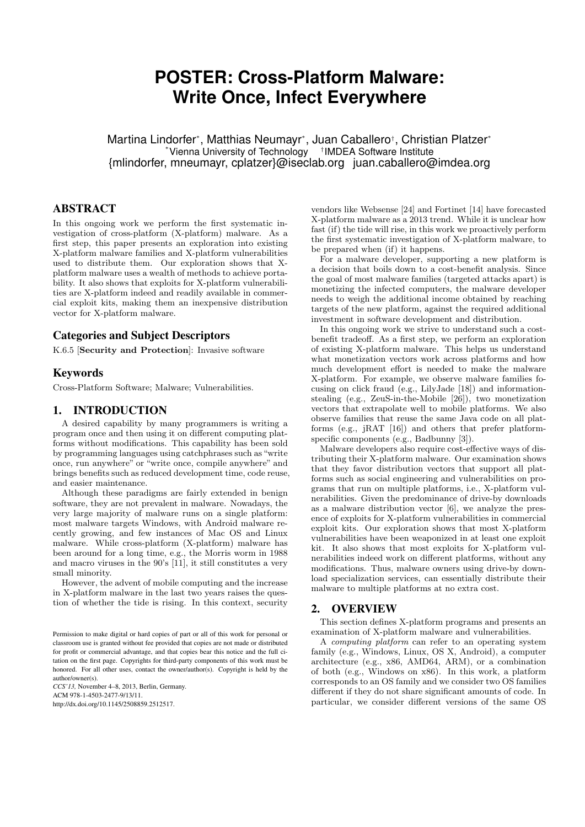# **POSTER: Cross-Platform Malware: Write Once, Infect Everywhere**

Martina Lindorfer\* , Matthias Neumayr\* , Juan Caballero† , Christian Platzer\* \*Vienna University of Technology † IMDEA Software Institute {mlindorfer, mneumayr, cplatzer}@iseclab.org juan.caballero@imdea.org

# ABSTRACT

In this ongoing work we perform the first systematic investigation of cross-platform (X-platform) malware. As a first step, this paper presents an exploration into existing X-platform malware families and X-platform vulnerabilities used to distribute them. Our exploration shows that Xplatform malware uses a wealth of methods to achieve portability. It also shows that exploits for X-platform vulnerabilities are X-platform indeed and readily available in commercial exploit kits, making them an inexpensive distribution vector for X-platform malware.

### Categories and Subject Descriptors

K.6.5 [Security and Protection]: Invasive software

### Keywords

Cross-Platform Software; Malware; Vulnerabilities.

## 1. INTRODUCTION

A desired capability by many programmers is writing a program once and then using it on different computing platforms without modifications. This capability has been sold by programming languages using catchphrases such as "write once, run anywhere" or "write once, compile anywhere" and brings benefits such as reduced development time, code reuse, and easier maintenance.

Although these paradigms are fairly extended in benign software, they are not prevalent in malware. Nowadays, the very large majority of malware runs on a single platform: most malware targets Windows, with Android malware recently growing, and few instances of Mac OS and Linux malware. While cross-platform (X-platform) malware has been around for a long time, e.g., the Morris worm in 1988 and macro viruses in the 90's [11], it still constitutes a very small minority.

However, the advent of mobile computing and the increase in X-platform malware in the last two years raises the question of whether the tide is rising. In this context, security

*CCS'13,* November 4–8, 2013, Berlin, Germany. ACM 978-1-4503-2477-9/13/11. http://dx.doi.org/10.1145/2508859.2512517.

vendors like Websense [24] and Fortinet [14] have forecasted X-platform malware as a 2013 trend. While it is unclear how fast (if) the tide will rise, in this work we proactively perform the first systematic investigation of X-platform malware, to be prepared when (if) it happens.

For a malware developer, supporting a new platform is a decision that boils down to a cost-benefit analysis. Since the goal of most malware families (targeted attacks apart) is monetizing the infected computers, the malware developer needs to weigh the additional income obtained by reaching targets of the new platform, against the required additional investment in software development and distribution.

In this ongoing work we strive to understand such a costbenefit tradeoff. As a first step, we perform an exploration of existing X-platform malware. This helps us understand what monetization vectors work across platforms and how much development effort is needed to make the malware X-platform. For example, we observe malware families focusing on click fraud (e.g., LilyJade [18]) and informationstealing (e.g., ZeuS-in-the-Mobile [26]), two monetization vectors that extrapolate well to mobile platforms. We also observe families that reuse the same Java code on all platforms (e.g., jRAT [16]) and others that prefer platformspecific components (e.g., Badbunny [3]).

Malware developers also require cost-effective ways of distributing their X-platform malware. Our examination shows that they favor distribution vectors that support all platforms such as social engineering and vulnerabilities on programs that run on multiple platforms, i.e., X-platform vulnerabilities. Given the predominance of drive-by downloads as a malware distribution vector [6], we analyze the presence of exploits for X-platform vulnerabilities in commercial exploit kits. Our exploration shows that most X-platform vulnerabilities have been weaponized in at least one exploit kit. It also shows that most exploits for X-platform vulnerabilities indeed work on different platforms, without any modifications. Thus, malware owners using drive-by download specialization services, can essentially distribute their malware to multiple platforms at no extra cost.

#### 2. OVERVIEW

This section defines X-platform programs and presents an examination of X-platform malware and vulnerabilities.

A computing platform can refer to an operating system family (e.g., Windows, Linux, OS X, Android), a computer architecture (e.g., x86, AMD64, ARM), or a combination of both (e.g., Windows on x86). In this work, a platform corresponds to an OS family and we consider two OS families different if they do not share significant amounts of code. In particular, we consider different versions of the same OS

Permission to make digital or hard copies of part or all of this work for personal or classroom use is granted without fee provided that copies are not made or distributed for profit or commercial advantage, and that copies bear this notice and the full citation on the first page. Copyrights for third-party components of this work must be honored. For all other uses, contact the owner/author(s). Copyright is held by the author/owner(s).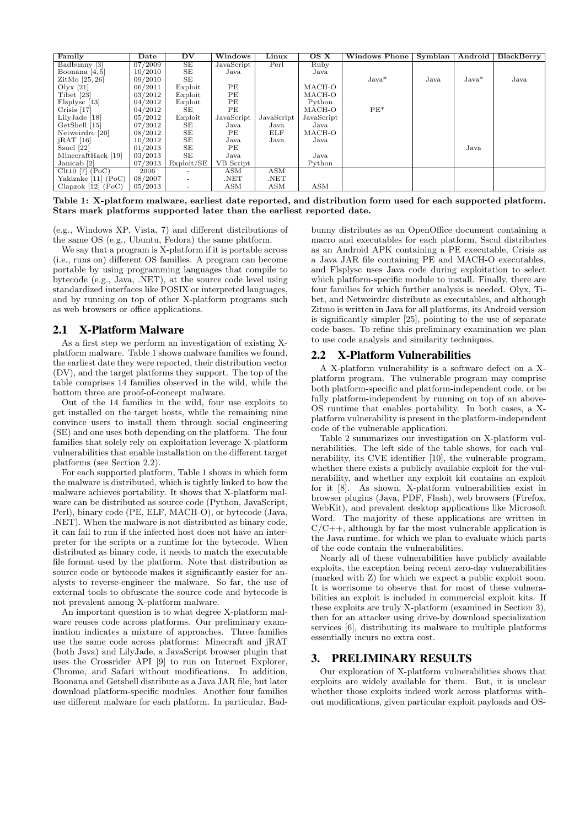| Family                 | Date    | $\mathbf{D}\mathbf{V}$   | Windows    | Linux      | OS X       | <b>Windows Phone</b> | Symbian | Android | BlackBerry |
|------------------------|---------|--------------------------|------------|------------|------------|----------------------|---------|---------|------------|
| Badbunny [3]           | 07/2009 | SE                       | JavaScript | Perl       | Ruby       |                      |         |         |            |
| Boonana $[4, 5]$       | 10/2010 | SE                       | Java       |            | Java       |                      |         |         |            |
| ZitMo $[25, 26]$       | 09/2010 | SE                       |            |            |            | $Java*$              | Java    | $Java*$ | Java       |
| Olyx $[21]$            | 06/2011 | Exploit                  | PЕ         |            | MACH-O     |                      |         |         |            |
| Tibet $[23]$           | 03/2012 | Exploit                  | PE         |            | MACH-O     |                      |         |         |            |
| Flsplysc [13]          | 04/2012 | Exploit                  | PЕ         |            | Python     |                      |         |         |            |
| Crisis $[17]$          | 04/2012 | SE                       | PЕ         |            | MACH-O     | $PE*$                |         |         |            |
| LilyJade [18]          | 05/2012 | Exploit                  | JavaScript | JavaScript | JavaScript |                      |         |         |            |
| GetShell [15]          | 07/2012 | SE                       | Java       | Java       | Java       |                      |         |         |            |
| Netweirdrc [20]        | 08/2012 | SE                       | PЕ         | ELF        | MACH-O     |                      |         |         |            |
| $jRAT$ [16]            | 10/2012 | SE                       | Java       | Java       | Java       |                      |         |         |            |
| Ssucl $[22]$           | 01/2013 | SE                       | PЕ         |            |            |                      |         | Java    |            |
| MinecraftHack [19]     | 03/2013 | SE                       | Java       |            | Java       |                      |         |         |            |
| Janicab <sup>[2]</sup> | 07/2013 | Exploit/SE               | VB Script  |            | Python     |                      |         |         |            |
| $Clt10$ $[7]$ $(PoC)$  | 2006    | $\overline{\phantom{a}}$ | ASM        | <b>ASM</b> |            |                      |         |         |            |
| Yakizake $[11]$ (PoC)  | 08/2007 | $\overline{\phantom{a}}$ | .NET       | .NET       |            |                      |         |         |            |
| Clapzok [12] $(PoC)$   | 05/2013 | $\overline{\phantom{a}}$ | ASM        | ASM        | ASM        |                      |         |         |            |

Table 1: X-platform malware, earliest date reported, and distribution form used for each supported platform. Stars mark platforms supported later than the earliest reported date.

(e.g., Windows XP, Vista, 7) and different distributions of the same OS (e.g., Ubuntu, Fedora) the same platform.

We say that a program is X-platform if it is portable across (i.e., runs on) different OS families. A program can become portable by using programming languages that compile to bytecode (e.g., Java, .NET), at the source code level using standardized interfaces like POSIX or interpreted languages, and by running on top of other X-platform programs such as web browsers or office applications.

# 2.1 X-Platform Malware

As a first step we perform an investigation of existing Xplatform malware. Table 1 shows malware families we found, the earliest date they were reported, their distribution vector (DV), and the target platforms they support. The top of the table comprises 14 families observed in the wild, while the bottom three are proof-of-concept malware.

Out of the 14 families in the wild, four use exploits to get installed on the target hosts, while the remaining nine convince users to install them through social engineering (SE) and one uses both depending on the platform. The four families that solely rely on exploitation leverage X-platform vulnerabilities that enable installation on the different target platforms (see Section 2.2).

For each supported platform, Table 1 shows in which form the malware is distributed, which is tightly linked to how the malware achieves portability. It shows that X-platform malware can be distributed as source code (Python, JavaScript, Perl), binary code (PE, ELF, MACH-O), or bytecode (Java, .NET). When the malware is not distributed as binary code, it can fail to run if the infected host does not have an interpreter for the scripts or a runtime for the bytecode. When distributed as binary code, it needs to match the executable file format used by the platform. Note that distribution as source code or bytecode makes it significantly easier for analysts to reverse-engineer the malware. So far, the use of external tools to obfuscate the source code and bytecode is not prevalent among X-platform malware.

An important question is to what degree X-platform malware reuses code across platforms. Our preliminary examination indicates a mixture of approaches. Three families use the same code across platforms: Minecraft and jRAT (both Java) and LilyJade, a JavaScript browser plugin that uses the Crossrider API [9] to run on Internet Explorer, Chrome, and Safari without modifications. In addition, Boonana and Getshell distribute as a Java JAR file, but later download platform-specific modules. Another four families use different malware for each platform. In particular, Badbunny distributes as an OpenOffice document containing a macro and executables for each platform, Sscul distributes as an Android APK containing a PE executable, Crisis as a Java JAR file containing PE and MACH-O executables, and Flsplysc uses Java code during exploitation to select which platform-specific module to install. Finally, there are four families for which further analysis is needed. Olyx, Tibet, and Netweirdrc distribute as executables, and although Zitmo is written in Java for all platforms, its Android version is significantly simpler [25], pointing to the use of separate code bases. To refine this preliminary examination we plan to use code analysis and similarity techniques.

## 2.2 X-Platform Vulnerabilities

A X-platform vulnerability is a software defect on a Xplatform program. The vulnerable program may comprise both platform-specific and platform-independent code, or be fully platform-independent by running on top of an above-OS runtime that enables portability. In both cases, a Xplatform vulnerability is present in the platform-independent code of the vulnerable application.

Table 2 summarizes our investigation on X-platform vulnerabilities. The left side of the table shows, for each vulnerability, its CVE identifier [10], the vulnerable program, whether there exists a publicly available exploit for the vulnerability, and whether any exploit kit contains an exploit for it [8]. As shown, X-platform vulnerabilities exist in browser plugins (Java, PDF, Flash), web browsers (Firefox, WebKit), and prevalent desktop applications like Microsoft Word. The majority of these applications are written in  $C/C++$ , although by far the most vulnerable application is the Java runtime, for which we plan to evaluate which parts of the code contain the vulnerabilities.

Nearly all of these vulnerabilities have publicly available exploits, the exception being recent zero-day vulnerabilities (marked with Z) for which we expect a public exploit soon. It is worrisome to observe that for most of these vulnerabilities an exploit is included in commercial exploit kits. If these exploits are truly X-platform (examined in Section 3), then for an attacker using drive-by download specialization services [6], distributing its malware to multiple platforms essentially incurs no extra cost.

### 3. PRELIMINARY RESULTS

Our exploration of X-platform vulnerabilities shows that exploits are widely available for them. But, it is unclear whether those exploits indeed work across platforms without modifications, given particular exploit payloads and OS-